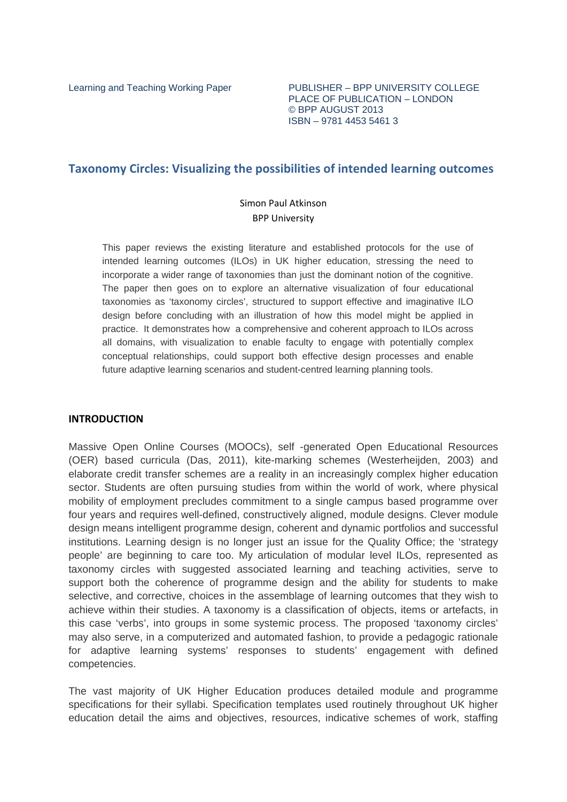Learning and Teaching Working Paper PUBLISHER - BPP UNIVERSITY COLLEGE PLACE OF PUBLICATION – LONDON © BPP AUGUST 2013 ISBN – 9781 4453 5461 3

# **Taxonomy Circles: Visualizing the possibilities of intended learning outcomes**

## Simon Paul Atkinson BPP University

This paper reviews the existing literature and established protocols for the use of intended learning outcomes (ILOs) in UK higher education, stressing the need to incorporate a wider range of taxonomies than just the dominant notion of the cognitive. The paper then goes on to explore an alternative visualization of four educational taxonomies as 'taxonomy circles', structured to support effective and imaginative ILO design before concluding with an illustration of how this model might be applied in practice. It demonstrates how a comprehensive and coherent approach to ILOs across all domains, with visualization to enable faculty to engage with potentially complex conceptual relationships, could support both effective design processes and enable future adaptive learning scenarios and student-centred learning planning tools.

## **INTRODUCTION**

Massive Open Online Courses (MOOCs), self -generated Open Educational Resources (OER) based curricula (Das, 2011), kite-marking schemes (Westerheijden, 2003) and elaborate credit transfer schemes are a reality in an increasingly complex higher education sector. Students are often pursuing studies from within the world of work, where physical mobility of employment precludes commitment to a single campus based programme over four years and requires well-defined, constructively aligned, module designs. Clever module design means intelligent programme design, coherent and dynamic portfolios and successful institutions. Learning design is no longer just an issue for the Quality Office; the 'strategy people' are beginning to care too. My articulation of modular level ILOs, represented as taxonomy circles with suggested associated learning and teaching activities, serve to support both the coherence of programme design and the ability for students to make selective, and corrective, choices in the assemblage of learning outcomes that they wish to achieve within their studies. A taxonomy is a classification of objects, items or artefacts, in this case 'verbs', into groups in some systemic process. The proposed 'taxonomy circles' may also serve, in a computerized and automated fashion, to provide a pedagogic rationale for adaptive learning systems' responses to students' engagement with defined competencies.

The vast majority of UK Higher Education produces detailed module and programme specifications for their syllabi. Specification templates used routinely throughout UK higher education detail the aims and objectives, resources, indicative schemes of work, staffing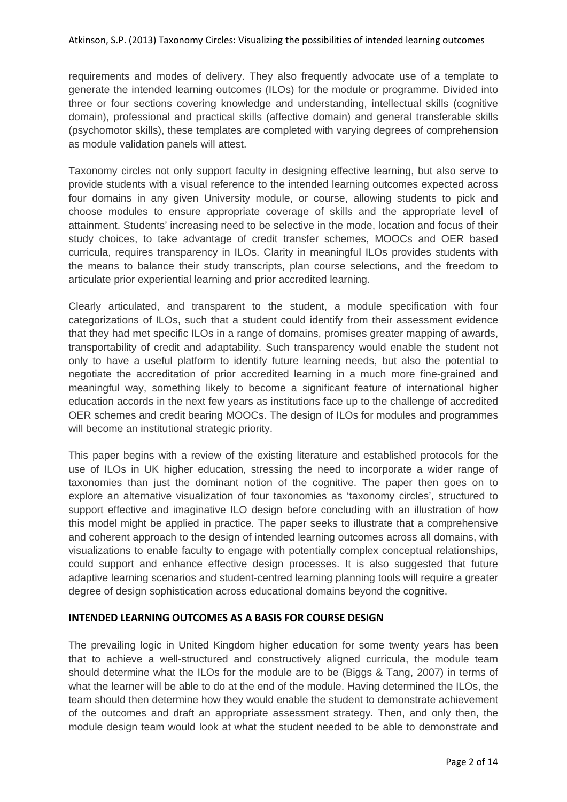requirements and modes of delivery. They also frequently advocate use of a template to generate the intended learning outcomes (ILOs) for the module or programme. Divided into three or four sections covering knowledge and understanding, intellectual skills (cognitive domain), professional and practical skills (affective domain) and general transferable skills (psychomotor skills), these templates are completed with varying degrees of comprehension as module validation panels will attest.

Taxonomy circles not only support faculty in designing effective learning, but also serve to provide students with a visual reference to the intended learning outcomes expected across four domains in any given University module, or course, allowing students to pick and choose modules to ensure appropriate coverage of skills and the appropriate level of attainment. Students' increasing need to be selective in the mode, location and focus of their study choices, to take advantage of credit transfer schemes, MOOCs and OER based curricula, requires transparency in ILOs. Clarity in meaningful ILOs provides students with the means to balance their study transcripts, plan course selections, and the freedom to articulate prior experiential learning and prior accredited learning.

Clearly articulated, and transparent to the student, a module specification with four categorizations of ILOs, such that a student could identify from their assessment evidence that they had met specific ILOs in a range of domains, promises greater mapping of awards, transportability of credit and adaptability. Such transparency would enable the student not only to have a useful platform to identify future learning needs, but also the potential to negotiate the accreditation of prior accredited learning in a much more fine-grained and meaningful way, something likely to become a significant feature of international higher education accords in the next few years as institutions face up to the challenge of accredited OER schemes and credit bearing MOOCs. The design of ILOs for modules and programmes will become an institutional strategic priority.

This paper begins with a review of the existing literature and established protocols for the use of ILOs in UK higher education, stressing the need to incorporate a wider range of taxonomies than just the dominant notion of the cognitive. The paper then goes on to explore an alternative visualization of four taxonomies as 'taxonomy circles', structured to support effective and imaginative ILO design before concluding with an illustration of how this model might be applied in practice. The paper seeks to illustrate that a comprehensive and coherent approach to the design of intended learning outcomes across all domains, with visualizations to enable faculty to engage with potentially complex conceptual relationships, could support and enhance effective design processes. It is also suggested that future adaptive learning scenarios and student-centred learning planning tools will require a greater degree of design sophistication across educational domains beyond the cognitive.

### **INTENDED LEARNING OUTCOMES AS A BASIS FOR COURSE DESIGN**

The prevailing logic in United Kingdom higher education for some twenty years has been that to achieve a well-structured and constructively aligned curricula, the module team should determine what the ILOs for the module are to be (Biggs & Tang, 2007) in terms of what the learner will be able to do at the end of the module. Having determined the ILOs, the team should then determine how they would enable the student to demonstrate achievement of the outcomes and draft an appropriate assessment strategy. Then, and only then, the module design team would look at what the student needed to be able to demonstrate and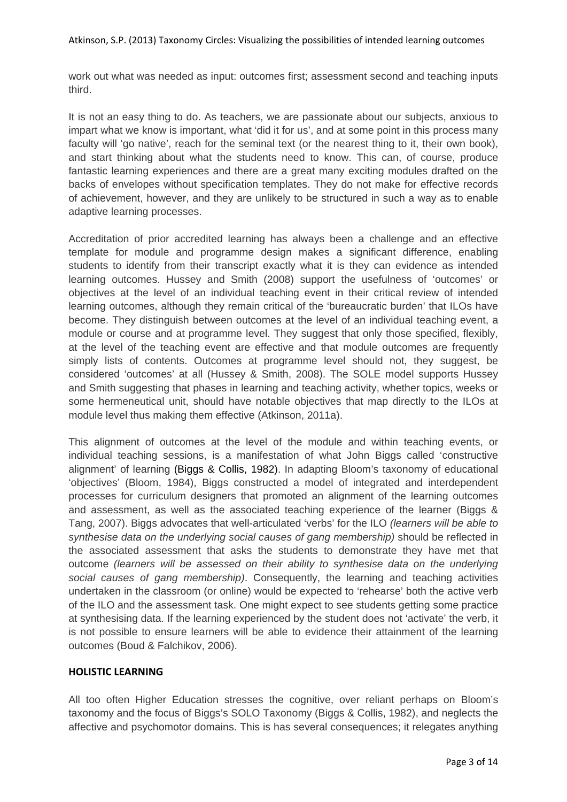work out what was needed as input: outcomes first; assessment second and teaching inputs third.

It is not an easy thing to do. As teachers, we are passionate about our subjects, anxious to impart what we know is important, what 'did it for us', and at some point in this process many faculty will 'go native', reach for the seminal text (or the nearest thing to it, their own book). and start thinking about what the students need to know. This can, of course, produce fantastic learning experiences and there are a great many exciting modules drafted on the backs of envelopes without specification templates. They do not make for effective records of achievement, however, and they are unlikely to be structured in such a way as to enable adaptive learning processes.

Accreditation of prior accredited learning has always been a challenge and an effective template for module and programme design makes a significant difference, enabling students to identify from their transcript exactly what it is they can evidence as intended learning outcomes. Hussey and Smith (2008) support the usefulness of 'outcomes' or objectives at the level of an individual teaching event in their critical review of intended learning outcomes, although they remain critical of the 'bureaucratic burden' that ILOs have become. They distinguish between outcomes at the level of an individual teaching event, a module or course and at programme level. They suggest that only those specified, flexibly, at the level of the teaching event are effective and that module outcomes are frequently simply lists of contents. Outcomes at programme level should not, they suggest, be considered 'outcomes' at all (Hussey & Smith, 2008). The SOLE model supports Hussey and Smith suggesting that phases in learning and teaching activity, whether topics, weeks or some hermeneutical unit, should have notable objectives that map directly to the ILOs at module level thus making them effective (Atkinson, 2011a).

This alignment of outcomes at the level of the module and within teaching events, or individual teaching sessions, is a manifestation of what John Biggs called 'constructive alignment' of learning (Biggs & Collis, 1982). In adapting Bloom's taxonomy of educational 'objectives' (Bloom, 1984), Biggs constructed a model of integrated and interdependent processes for curriculum designers that promoted an alignment of the learning outcomes and assessment, as well as the associated teaching experience of the learner (Biggs & Tang, 2007). Biggs advocates that well-articulated 'verbs' for the ILO (learners will be able to synthesise data on the underlying social causes of gang membership) should be reflected in the associated assessment that asks the students to demonstrate they have met that outcome (learners will be assessed on their ability to synthesise data on the underlying social causes of gang membership). Consequently, the learning and teaching activities undertaken in the classroom (or online) would be expected to 'rehearse' both the active verb of the ILO and the assessment task. One might expect to see students getting some practice at synthesising data. If the learning experienced by the student does not 'activate' the verb, it is not possible to ensure learners will be able to evidence their attainment of the learning outcomes (Boud & Falchikov, 2006).

# **HOLISTIC LEARNING**

All too often Higher Education stresses the cognitive, over reliant perhaps on Bloom's taxonomy and the focus of Biggs's SOLO Taxonomy (Biggs & Collis, 1982), and neglects the affective and psychomotor domains. This is has several consequences; it relegates anything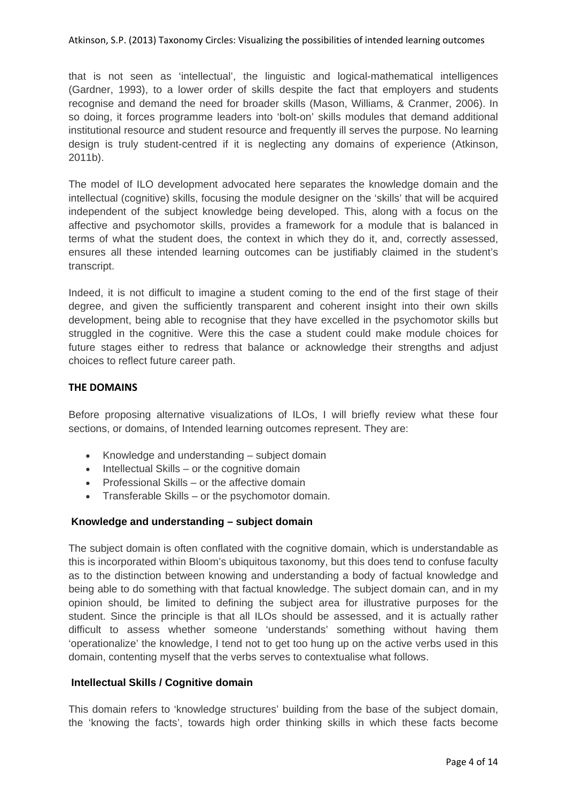Atkinson, S.P. (2013) Taxonomy Circles: Visualizing the possibilities of intended learning outcomes

that is not seen as 'intellectual', the linguistic and logical-mathematical intelligences (Gardner, 1993), to a lower order of skills despite the fact that employers and students recognise and demand the need for broader skills (Mason, Williams, & Cranmer, 2006). In so doing, it forces programme leaders into 'bolt-on' skills modules that demand additional institutional resource and student resource and frequently ill serves the purpose. No learning design is truly student-centred if it is neglecting any domains of experience (Atkinson, 2011b).

The model of ILO development advocated here separates the knowledge domain and the intellectual (cognitive) skills, focusing the module designer on the 'skills' that will be acquired independent of the subject knowledge being developed. This, along with a focus on the affective and psychomotor skills, provides a framework for a module that is balanced in terms of what the student does, the context in which they do it, and, correctly assessed, ensures all these intended learning outcomes can be justifiably claimed in the student's transcript.

Indeed, it is not difficult to imagine a student coming to the end of the first stage of their degree, and given the sufficiently transparent and coherent insight into their own skills development, being able to recognise that they have excelled in the psychomotor skills but struggled in the cognitive. Were this the case a student could make module choices for future stages either to redress that balance or acknowledge their strengths and adjust choices to reflect future career path.

### **THE DOMAINS**

Before proposing alternative visualizations of ILOs, I will briefly review what these four sections, or domains, of Intended learning outcomes represent. They are:

- Knowledge and understanding subject domain
- $\bullet$  Intellectual Skills or the cognitive domain
- Professional Skills or the affective domain
- Transferable Skills or the psychomotor domain.

### **Knowledge and understanding – subject domain**

The subject domain is often conflated with the cognitive domain, which is understandable as this is incorporated within Bloom's ubiquitous taxonomy, but this does tend to confuse faculty as to the distinction between knowing and understanding a body of factual knowledge and being able to do something with that factual knowledge. The subject domain can, and in my opinion should, be limited to defining the subject area for illustrative purposes for the student. Since the principle is that all ILOs should be assessed, and it is actually rather difficult to assess whether someone 'understands' something without having them 'operationalize' the knowledge, I tend not to get too hung up on the active verbs used in this domain, contenting myself that the verbs serves to contextualise what follows.

### **Intellectual Skills / Cognitive domain**

This domain refers to 'knowledge structures' building from the base of the subject domain, the 'knowing the facts', towards high order thinking skills in which these facts become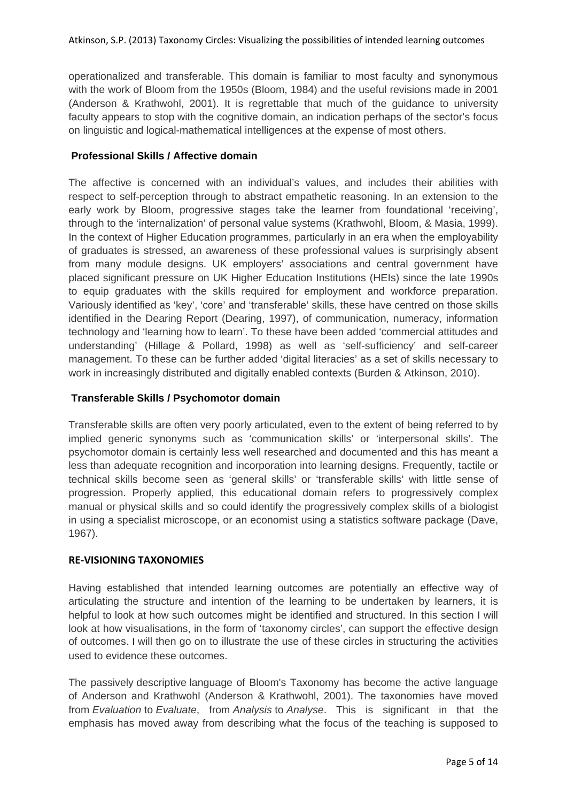operationalized and transferable. This domain is familiar to most faculty and synonymous with the work of Bloom from the 1950s (Bloom, 1984) and the useful revisions made in 2001 (Anderson & Krathwohl, 2001). It is regrettable that much of the guidance to university faculty appears to stop with the cognitive domain, an indication perhaps of the sector's focus on linguistic and logical-mathematical intelligences at the expense of most others.

## **Professional Skills / Affective domain**

The affective is concerned with an individual's values, and includes their abilities with respect to self-perception through to abstract empathetic reasoning. In an extension to the early work by Bloom, progressive stages take the learner from foundational 'receiving', through to the 'internalization' of personal value systems (Krathwohl, Bloom, & Masia, 1999). In the context of Higher Education programmes, particularly in an era when the employability of graduates is stressed, an awareness of these professional values is surprisingly absent from many module designs. UK employers' associations and central government have placed significant pressure on UK Higher Education Institutions (HEIs) since the late 1990s to equip graduates with the skills required for employment and workforce preparation. Variously identified as 'key', 'core' and 'transferable' skills, these have centred on those skills identified in the Dearing Report (Dearing, 1997), of communication, numeracy, information technology and 'learning how to learn'. To these have been added 'commercial attitudes and understanding' (Hillage & Pollard, 1998) as well as 'self-sufficiency' and self-career management. To these can be further added 'digital literacies' as a set of skills necessary to work in increasingly distributed and digitally enabled contexts (Burden & Atkinson, 2010).

# **Transferable Skills / Psychomotor domain**

Transferable skills are often very poorly articulated, even to the extent of being referred to by implied generic synonyms such as 'communication skills' or 'interpersonal skills'. The psychomotor domain is certainly less well researched and documented and this has meant a less than adequate recognition and incorporation into learning designs. Frequently, tactile or technical skills become seen as 'general skills' or 'transferable skills' with little sense of progression. Properly applied, this educational domain refers to progressively complex manual or physical skills and so could identify the progressively complex skills of a biologist in using a specialist microscope, or an economist using a statistics software package (Dave, 1967).

## **RE‐VISIONING TAXONOMIES**

Having established that intended learning outcomes are potentially an effective way of articulating the structure and intention of the learning to be undertaken by learners, it is helpful to look at how such outcomes might be identified and structured. In this section I will look at how visualisations, in the form of 'taxonomy circles', can support the effective design of outcomes. I will then go on to illustrate the use of these circles in structuring the activities used to evidence these outcomes.

The passively descriptive language of Bloom's Taxonomy has become the active language of Anderson and Krathwohl (Anderson & Krathwohl, 2001). The taxonomies have moved from Evaluation to Evaluate, from Analysis to Analyse. This is significant in that the emphasis has moved away from describing what the focus of the teaching is supposed to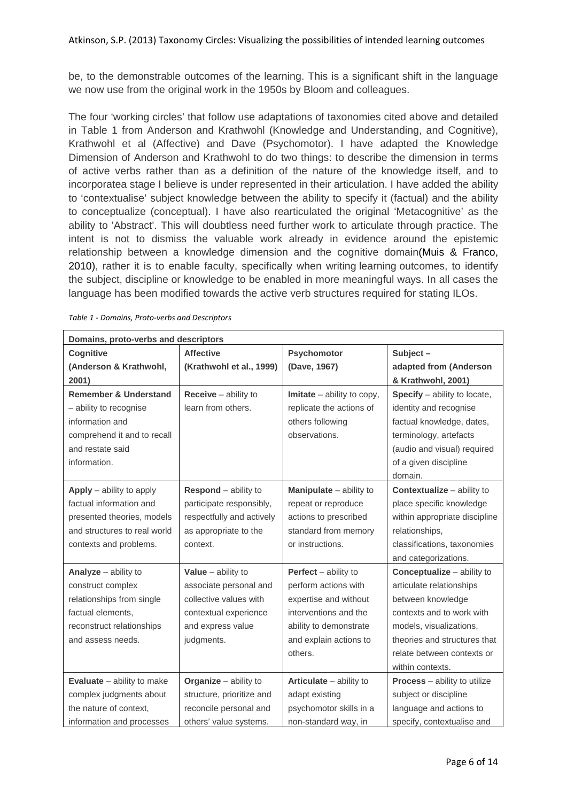be, to the demonstrable outcomes of the learning. This is a significant shift in the language we now use from the original work in the 1950s by Bloom and colleagues.

The four 'working circles' that follow use adaptations of taxonomies cited above and detailed in Table 1 from Anderson and Krathwohl (Knowledge and Understanding, and Cognitive), Krathwohl et al (Affective) and Dave (Psychomotor). I have adapted the Knowledge Dimension of Anderson and Krathwohl to do two things: to describe the dimension in terms of active verbs rather than as a definition of the nature of the knowledge itself, and to incorporatea stage I believe is under represented in their articulation. I have added the ability to 'contextualise' subject knowledge between the ability to specify it (factual) and the ability to conceptualize (conceptual). I have also rearticulated the original 'Metacognitive' as the ability to 'Abstract'. This will doubtless need further work to articulate through practice. The intent is not to dismiss the valuable work already in evidence around the epistemic relationship between a knowledge dimension and the cognitive domain(Muis & Franco, 2010), rather it is to enable faculty, specifically when writing learning outcomes, to identify the subject, discipline or knowledge to be enabled in more meaningful ways. In all cases the language has been modified towards the active verb structures required for stating ILOs.

| Domains, proto-verbs and descriptors |                           |                               |                                       |  |  |
|--------------------------------------|---------------------------|-------------------------------|---------------------------------------|--|--|
| Cognitive                            | <b>Affective</b>          | Psychomotor                   | Subject-                              |  |  |
| (Anderson & Krathwohl,               | (Krathwohl et al., 1999)  | (Dave, 1967)                  | adapted from (Anderson                |  |  |
| 2001)                                |                           |                               | & Krathwohl, 2001)                    |  |  |
| <b>Remember &amp; Understand</b>     | $Receive – ability to$    | $Initate - ability to copy,$  | Specify - ability to locate,          |  |  |
| - ability to recognise               | learn from others.        | replicate the actions of      | identity and recognise                |  |  |
| information and                      |                           | others following              | factual knowledge, dates,             |  |  |
| comprehend it and to recall          |                           | observations.                 | terminology, artefacts                |  |  |
| and restate said                     |                           |                               | (audio and visual) required           |  |  |
| information.                         |                           |                               | of a given discipline                 |  |  |
|                                      |                           |                               | domain.                               |  |  |
| Apply $-$ ability to apply           | Respond - ability to      | Manipulate - ability to       | <b>Contextualize</b> - ability to     |  |  |
| factual information and              | participate responsibly,  | repeat or reproduce           | place specific knowledge              |  |  |
| presented theories, models           | respectfully and actively | actions to prescribed         | within appropriate discipline         |  |  |
| and structures to real world         | as appropriate to the     | standard from memory          | relationships,                        |  |  |
| contexts and problems.               | context.                  | or instructions.              | classifications, taxonomies           |  |  |
|                                      |                           |                               | and categorizations.                  |  |  |
| Analyze - ability to                 | Value $-$ ability to      | <b>Perfect</b> $-$ ability to | <b>Conceptualize</b> – ability to     |  |  |
| construct complex                    | associate personal and    | perform actions with          | articulate relationships              |  |  |
| relationships from single            | collective values with    | expertise and without         | between knowledge                     |  |  |
| factual elements,                    | contextual experience     | interventions and the         | contexts and to work with             |  |  |
| reconstruct relationships            | and express value         | ability to demonstrate        | models, visualizations,               |  |  |
| and assess needs.                    | judgments.                | and explain actions to        | theories and structures that          |  |  |
|                                      |                           | others.                       | relate between contexts or            |  |  |
|                                      |                           |                               | within contexts.                      |  |  |
| <b>Evaluate</b> $-$ ability to make  | Organize $-$ ability to   | Articulate - ability to       | <b>Process</b> $-$ ability to utilize |  |  |
| complex judgments about              | structure, prioritize and | adapt existing                | subject or discipline                 |  |  |
| the nature of context,               | reconcile personal and    | psychomotor skills in a       | language and actions to               |  |  |
| information and processes            | others' value systems.    | non-standard way, in          | specify, contextualise and            |  |  |

*Table 1 ‐ Domains, Proto‐verbs and Descriptors*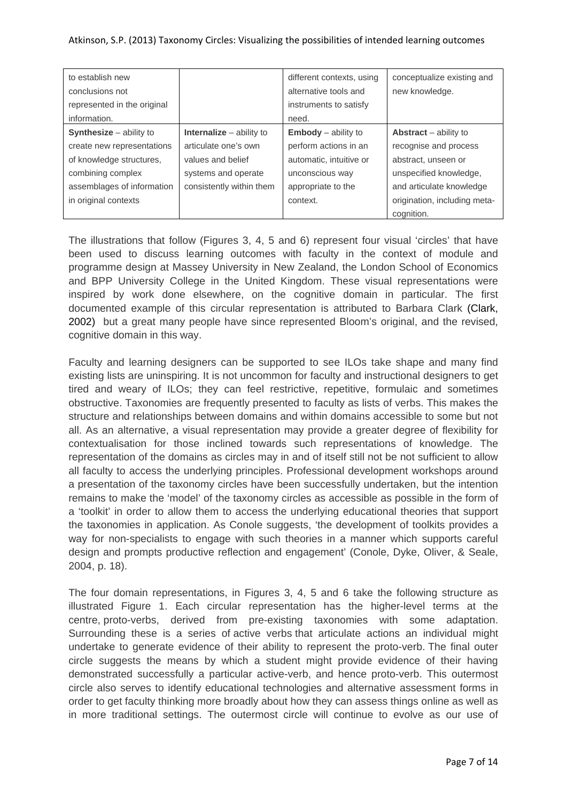### Atkinson, S.P. (2013) Taxonomy Circles: Visualizing the possibilities of intended learning outcomes

| to establish new               |                                   | different contexts, using  | conceptualize existing and   |
|--------------------------------|-----------------------------------|----------------------------|------------------------------|
| conclusions not                |                                   | alternative tools and      | new knowledge.               |
| represented in the original    |                                   | instruments to satisfy     |                              |
| information.                   |                                   | need.                      |                              |
| <b>Synthesize</b> - ability to | <b>Internalize</b> $-$ ability to | <b>Embody</b> – ability to | Abstract $-$ ability to      |
| create new representations     | articulate one's own              | perform actions in an      | recognise and process        |
| of knowledge structures,       | values and belief                 | automatic, intuitive or    | abstract, unseen or          |
| combining complex              | systems and operate               | unconscious way            | unspecified knowledge,       |
| assemblages of information     | consistently within them          | appropriate to the         | and articulate knowledge     |
| in original contexts           |                                   | context.                   | origination, including meta- |
|                                |                                   |                            | cognition.                   |

The illustrations that follow (Figures 3, 4, 5 and 6) represent four visual 'circles' that have been used to discuss learning outcomes with faculty in the context of module and programme design at Massey University in New Zealand, the London School of Economics and BPP University College in the United Kingdom. These visual representations were inspired by work done elsewhere, on the cognitive domain in particular. The first documented example of this circular representation is attributed to Barbara Clark (Clark, 2002) but a great many people have since represented Bloom's original, and the revised, cognitive domain in this way.

Faculty and learning designers can be supported to see ILOs take shape and many find existing lists are uninspiring. It is not uncommon for faculty and instructional designers to get tired and weary of ILOs; they can feel restrictive, repetitive, formulaic and sometimes obstructive. Taxonomies are frequently presented to faculty as lists of verbs. This makes the structure and relationships between domains and within domains accessible to some but not all. As an alternative, a visual representation may provide a greater degree of flexibility for contextualisation for those inclined towards such representations of knowledge. The representation of the domains as circles may in and of itself still not be not sufficient to allow all faculty to access the underlying principles. Professional development workshops around a presentation of the taxonomy circles have been successfully undertaken, but the intention remains to make the 'model' of the taxonomy circles as accessible as possible in the form of a 'toolkit' in order to allow them to access the underlying educational theories that support the taxonomies in application. As Conole suggests, 'the development of toolkits provides a way for non-specialists to engage with such theories in a manner which supports careful design and prompts productive reflection and engagement' (Conole, Dyke, Oliver, & Seale, 2004, p. 18).

The four domain representations, in Figures 3, 4, 5 and 6 take the following structure as illustrated Figure 1. Each circular representation has the higher-level terms at the centre, proto-verbs, derived from pre-existing taxonomies with some adaptation. Surrounding these is a series of active verbs that articulate actions an individual might undertake to generate evidence of their ability to represent the proto-verb. The final outer circle suggests the means by which a student might provide evidence of their having demonstrated successfully a particular active-verb, and hence proto-verb. This outermost circle also serves to identify educational technologies and alternative assessment forms in order to get faculty thinking more broadly about how they can assess things online as well as in more traditional settings. The outermost circle will continue to evolve as our use of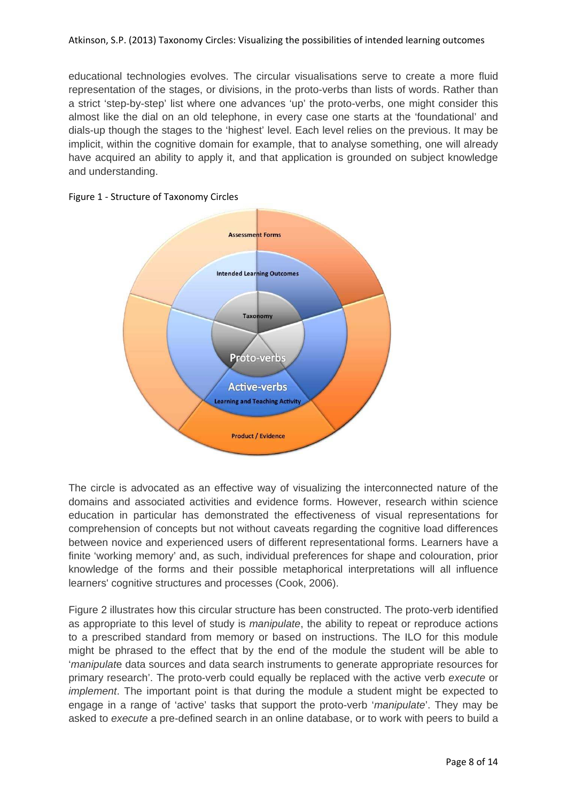educational technologies evolves. The circular visualisations serve to create a more fluid representation of the stages, or divisions, in the proto-verbs than lists of words. Rather than a strict 'step-by-step' list where one advances 'up' the proto-verbs, one might consider this almost like the dial on an old telephone, in every case one starts at the 'foundational' and dials-up though the stages to the 'highest' level. Each level relies on the previous. It may be implicit, within the cognitive domain for example, that to analyse something, one will already have acquired an ability to apply it, and that application is grounded on subject knowledge and understanding.





The circle is advocated as an effective way of visualizing the interconnected nature of the domains and associated activities and evidence forms. However, research within science education in particular has demonstrated the effectiveness of visual representations for comprehension of concepts but not without caveats regarding the cognitive load differences between novice and experienced users of different representational forms. Learners have a finite 'working memory' and, as such, individual preferences for shape and colouration, prior knowledge of the forms and their possible metaphorical interpretations will all influence learners' cognitive structures and processes (Cook, 2006).

Figure 2 illustrates how this circular structure has been constructed. The proto-verb identified as appropriate to this level of study is *manipulate*, the ability to repeat or reproduce actions to a prescribed standard from memory or based on instructions. The ILO for this module might be phrased to the effect that by the end of the module the student will be able to 'manipulate data sources and data search instruments to generate appropriate resources for primary research'. The proto-verb could equally be replaced with the active verb execute or implement. The important point is that during the module a student might be expected to engage in a range of 'active' tasks that support the proto-verb 'manipulate'. They may be asked to execute a pre-defined search in an online database, or to work with peers to build a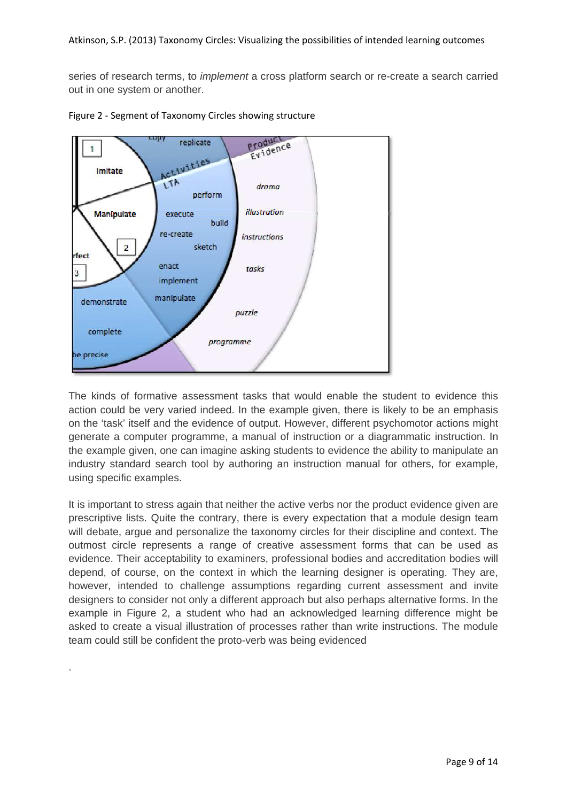series of research terms, to *implement* a cross platform search or re-create a search carried out in one system or another.



Figure 2 ‐ Segment of Taxonomy Circles showing structure

.

The kinds of formative assessment tasks that would enable the student to evidence this action could be very varied indeed. In the example given, there is likely to be an emphasis on the 'task' itself and the evidence of output. However, different psychomotor actions might generate a computer programme, a manual of instruction or a diagrammatic instruction. In the example given, one can imagine asking students to evidence the ability to manipulate an industry standard search tool by authoring an instruction manual for others, for example, using specific examples.

It is important to stress again that neither the active verbs nor the product evidence given are prescriptive lists. Quite the contrary, there is every expectation that a module design team will debate, argue and personalize the taxonomy circles for their discipline and context. The outmost circle represents a range of creative assessment forms that can be used as evidence. Their acceptability to examiners, professional bodies and accreditation bodies will depend, of course, on the context in which the learning designer is operating. They are, however, intended to challenge assumptions regarding current assessment and invite designers to consider not only a different approach but also perhaps alternative forms. In the example in Figure 2, a student who had an acknowledged learning difference might be asked to create a visual illustration of processes rather than write instructions. The module team could still be confident the proto-verb was being evidenced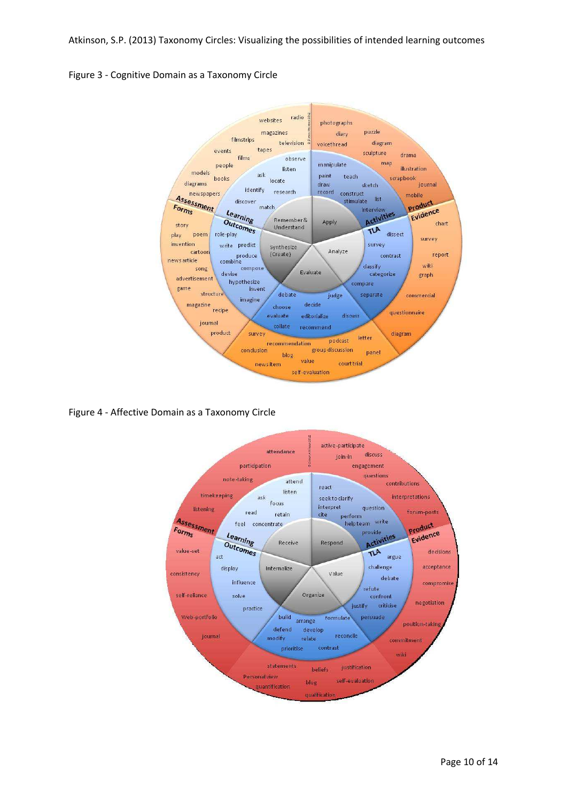Atkinson, S.P. (2013) Taxonomy Circles: Visualizing the possibilities of intended learning outcomes

Figure 3 ‐ Cognitive Domain as a Taxonomy Circle



Figure 4 ‐ Affective Domain as a Taxonomy Circle

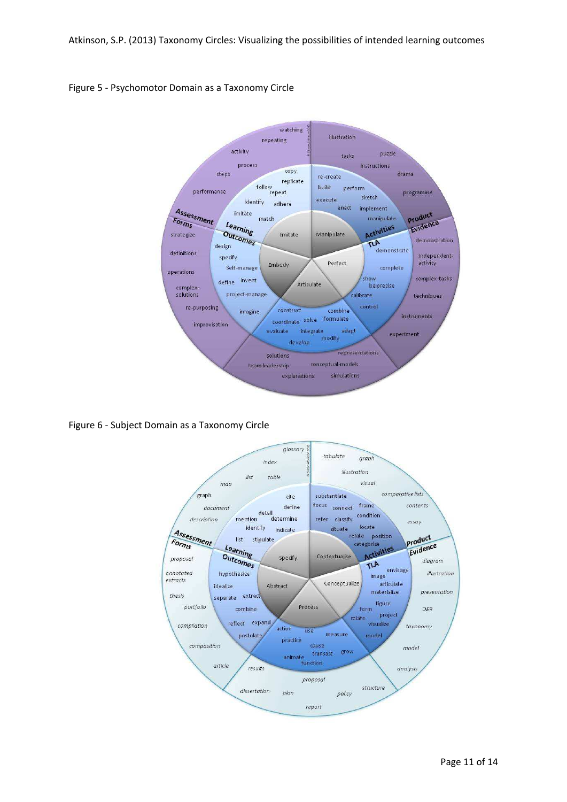

### Figure 5 ‐ Psychomotor Domain as a Taxonomy Circle

Figure 6 ‐ Subject Domain as a Taxonomy Circle

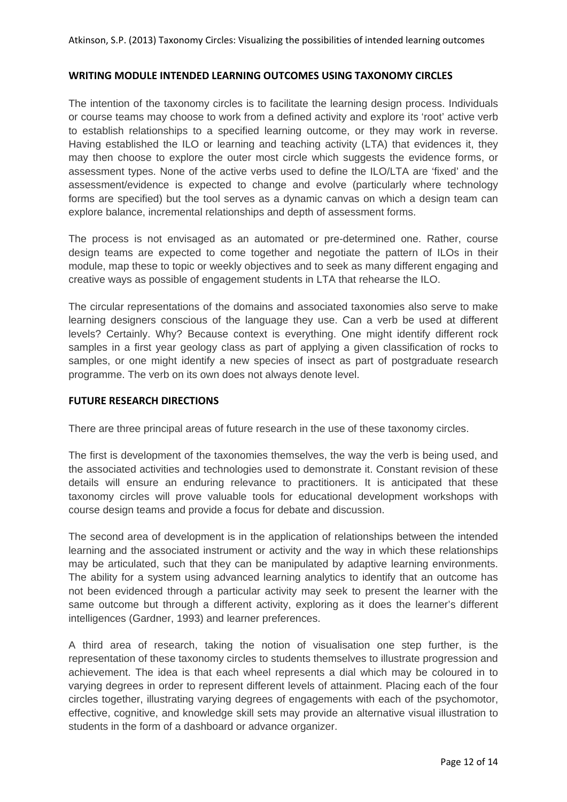### **WRITING MODULE INTENDED LEARNING OUTCOMES USING TAXONOMY CIRCLES**

The intention of the taxonomy circles is to facilitate the learning design process. Individuals or course teams may choose to work from a defined activity and explore its 'root' active verb to establish relationships to a specified learning outcome, or they may work in reverse. Having established the ILO or learning and teaching activity (LTA) that evidences it, they may then choose to explore the outer most circle which suggests the evidence forms, or assessment types. None of the active verbs used to define the ILO/LTA are 'fixed' and the assessment/evidence is expected to change and evolve (particularly where technology forms are specified) but the tool serves as a dynamic canvas on which a design team can explore balance, incremental relationships and depth of assessment forms.

The process is not envisaged as an automated or pre-determined one. Rather, course design teams are expected to come together and negotiate the pattern of ILOs in their module, map these to topic or weekly objectives and to seek as many different engaging and creative ways as possible of engagement students in LTA that rehearse the ILO.

The circular representations of the domains and associated taxonomies also serve to make learning designers conscious of the language they use. Can a verb be used at different levels? Certainly. Why? Because context is everything. One might identify different rock samples in a first year geology class as part of applying a given classification of rocks to samples, or one might identify a new species of insect as part of postgraduate research programme. The verb on its own does not always denote level.

### **FUTURE RESEARCH DIRECTIONS**

There are three principal areas of future research in the use of these taxonomy circles.

The first is development of the taxonomies themselves, the way the verb is being used, and the associated activities and technologies used to demonstrate it. Constant revision of these details will ensure an enduring relevance to practitioners. It is anticipated that these taxonomy circles will prove valuable tools for educational development workshops with course design teams and provide a focus for debate and discussion.

The second area of development is in the application of relationships between the intended learning and the associated instrument or activity and the way in which these relationships may be articulated, such that they can be manipulated by adaptive learning environments. The ability for a system using advanced learning analytics to identify that an outcome has not been evidenced through a particular activity may seek to present the learner with the same outcome but through a different activity, exploring as it does the learner's different intelligences (Gardner, 1993) and learner preferences.

A third area of research, taking the notion of visualisation one step further, is the representation of these taxonomy circles to students themselves to illustrate progression and achievement. The idea is that each wheel represents a dial which may be coloured in to varying degrees in order to represent different levels of attainment. Placing each of the four circles together, illustrating varying degrees of engagements with each of the psychomotor, effective, cognitive, and knowledge skill sets may provide an alternative visual illustration to students in the form of a dashboard or advance organizer.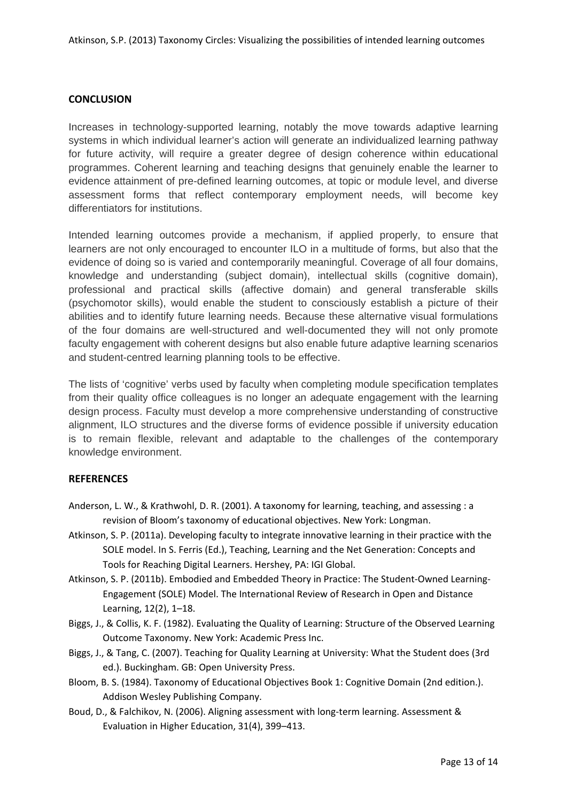## **CONCLUSION**

Increases in technology-supported learning, notably the move towards adaptive learning systems in which individual learner's action will generate an individualized learning pathway for future activity, will require a greater degree of design coherence within educational programmes. Coherent learning and teaching designs that genuinely enable the learner to evidence attainment of pre-defined learning outcomes, at topic or module level, and diverse assessment forms that reflect contemporary employment needs, will become key differentiators for institutions.

Intended learning outcomes provide a mechanism, if applied properly, to ensure that learners are not only encouraged to encounter ILO in a multitude of forms, but also that the evidence of doing so is varied and contemporarily meaningful. Coverage of all four domains, knowledge and understanding (subject domain), intellectual skills (cognitive domain), professional and practical skills (affective domain) and general transferable skills (psychomotor skills), would enable the student to consciously establish a picture of their abilities and to identify future learning needs. Because these alternative visual formulations of the four domains are well-structured and well-documented they will not only promote faculty engagement with coherent designs but also enable future adaptive learning scenarios and student-centred learning planning tools to be effective.

The lists of 'cognitive' verbs used by faculty when completing module specification templates from their quality office colleagues is no longer an adequate engagement with the learning design process. Faculty must develop a more comprehensive understanding of constructive alignment, ILO structures and the diverse forms of evidence possible if university education is to remain flexible, relevant and adaptable to the challenges of the contemporary knowledge environment.

## **REFERENCES**

- Anderson, L. W., & Krathwohl, D. R. (2001). A taxonomy for learning, teaching, and assessing : a revision of Bloom's taxonomy of educational objectives. New York: Longman.
- Atkinson, S. P. (2011a). Developing faculty to integrate innovative learning in their practice with the SOLE model. In S. Ferris (Ed.), Teaching, Learning and the Net Generation: Concepts and Tools for Reaching Digital Learners. Hershey, PA: IGI Global.
- Atkinson, S. P. (2011b). Embodied and Embedded Theory in Practice: The Student‐Owned Learning‐ Engagement (SOLE) Model. The International Review of Research in Open and Distance Learning, 12(2), 1–18.
- Biggs, J., & Collis, K. F. (1982). Evaluating the Quality of Learning: Structure of the Observed Learning Outcome Taxonomy. New York: Academic Press Inc.
- Biggs, J., & Tang, C. (2007). Teaching for Quality Learning at University: What the Student does (3rd ed.). Buckingham. GB: Open University Press.
- Bloom, B. S. (1984). Taxonomy of Educational Objectives Book 1: Cognitive Domain (2nd edition.). Addison Wesley Publishing Company.
- Boud, D., & Falchikov, N. (2006). Aligning assessment with long-term learning. Assessment & Evaluation in Higher Education, 31(4), 399–413.